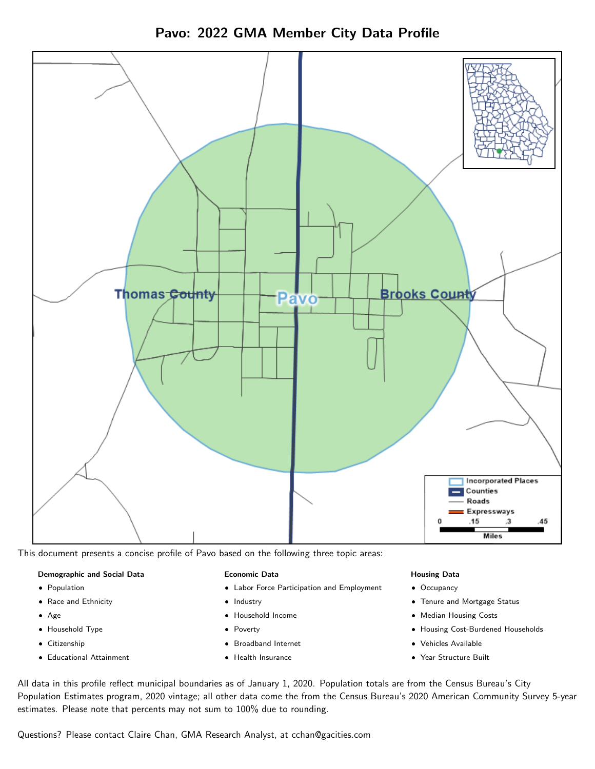



This document presents a concise profile of Pavo based on the following three topic areas:

#### Demographic and Social Data

- **•** Population
- Race and Ethnicity
- Age
- Household Type
- **Citizenship**
- Educational Attainment

#### Economic Data

- Labor Force Participation and Employment
- Industry
- Household Income
- Poverty
- Broadband Internet
- Health Insurance

#### Housing Data

- Occupancy
- Tenure and Mortgage Status
- Median Housing Costs
- Housing Cost-Burdened Households
- Vehicles Available
- Year Structure Built

All data in this profile reflect municipal boundaries as of January 1, 2020. Population totals are from the Census Bureau's City Population Estimates program, 2020 vintage; all other data come the from the Census Bureau's 2020 American Community Survey 5-year estimates. Please note that percents may not sum to 100% due to rounding.

Questions? Please contact Claire Chan, GMA Research Analyst, at [cchan@gacities.com.](mailto:cchan@gacities.com)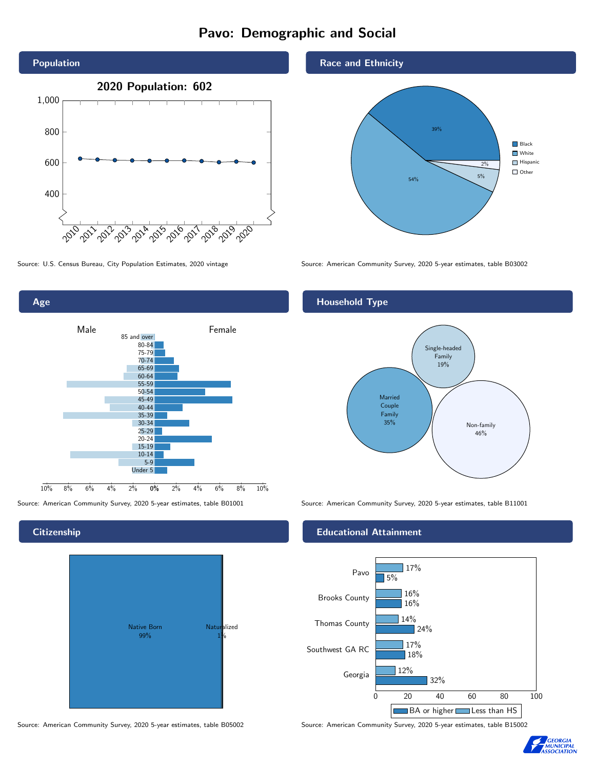# Pavo: Demographic and Social



0% 2% 4% 6% 8% 10% Male **Female** 10% 8% 6% 4% 2% 85 and over 80-84 75-79 70-74 65-69 60-64 55-59 50-54 45-49 40-44 35-39 30-34  $25 - 29$ 20-24 15-19 10-14 5-9 Under 5

## **Citizenship**

Age



Source: American Community Survey, 2020 5-year estimates, table B05002 Source: American Community Survey, 2020 5-year estimates, table B15002

### Race and Ethnicity



Source: U.S. Census Bureau, City Population Estimates, 2020 vintage Source: American Community Survey, 2020 5-year estimates, table B03002

# Household Type



Source: American Community Survey, 2020 5-year estimates, table B01001 Source: American Community Survey, 2020 5-year estimates, table B11001

#### Educational Attainment



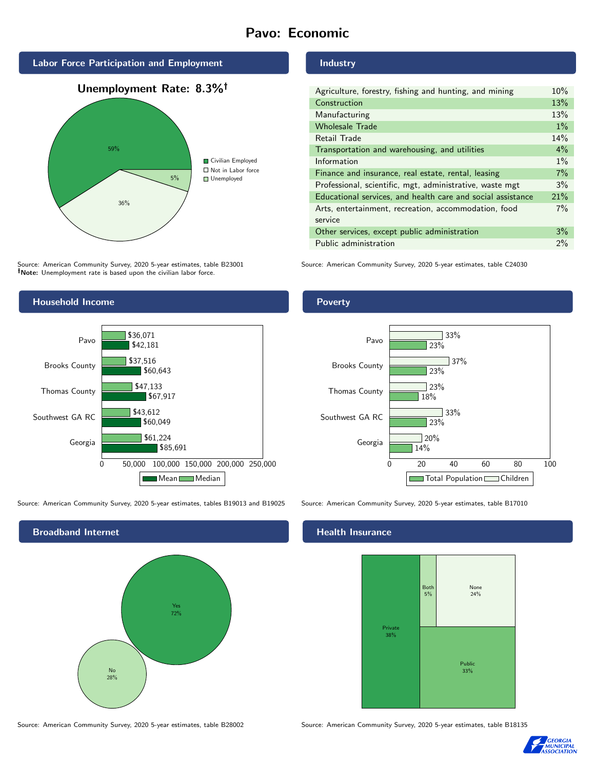# Pavo: Economic







Source: American Community Survey, 2020 5-year estimates, table B23001 Note: Unemployment rate is based upon the civilian labor force.

### Industry

| Agriculture, forestry, fishing and hunting, and mining      | 10%   |
|-------------------------------------------------------------|-------|
| Construction                                                | 13%   |
| Manufacturing                                               | 13%   |
| <b>Wholesale Trade</b>                                      | $1\%$ |
| Retail Trade                                                | 14%   |
| Transportation and warehousing, and utilities               | $4\%$ |
| Information                                                 | $1\%$ |
| Finance and insurance, real estate, rental, leasing         | 7%    |
| Professional, scientific, mgt, administrative, waste mgt    | 3%    |
| Educational services, and health care and social assistance | 21%   |
| Arts, entertainment, recreation, accommodation, food        | $7\%$ |
| service                                                     |       |
| Other services, except public administration                | 3%    |
| Public administration                                       | $2\%$ |

Source: American Community Survey, 2020 5-year estimates, table C24030



Source: American Community Survey, 2020 5-year estimates, tables B19013 and B19025 Source: American Community Survey, 2020 5-year estimates, table B17010



#### Health Insurance



Source: American Community Survey, 2020 5-year estimates, table B28002 Source: American Community Survey, 2020 5-year estimates, table B18135



## Poverty